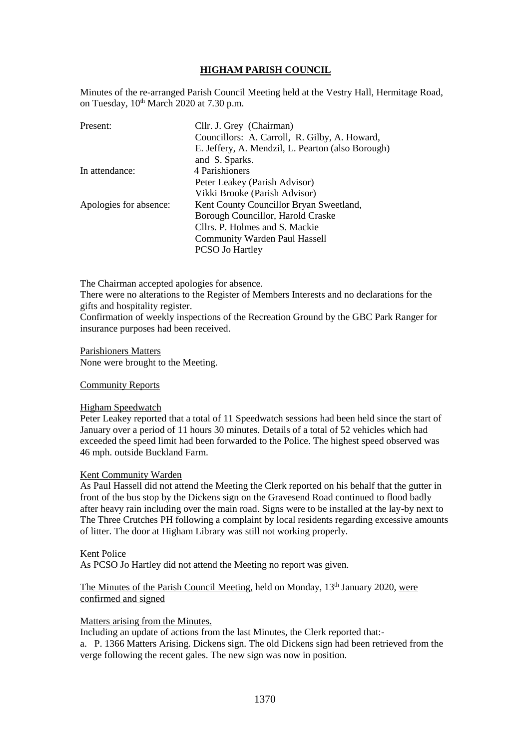## **HIGHAM PARISH COUNCIL**

Minutes of the re-arranged Parish Council Meeting held at the Vestry Hall, Hermitage Road, on Tuesday,  $10^{th}$  March 2020 at 7.30 p.m.

| Present:               | Cllr. J. Grey (Chairman)                          |
|------------------------|---------------------------------------------------|
|                        | Councillors: A. Carroll, R. Gilby, A. Howard,     |
|                        | E. Jeffery, A. Mendzil, L. Pearton (also Borough) |
|                        | and S. Sparks.                                    |
| In attendance:         | 4 Parishioners                                    |
|                        | Peter Leakey (Parish Advisor)                     |
|                        | Vikki Brooke (Parish Advisor)                     |
| Apologies for absence: | Kent County Councillor Bryan Sweetland,           |
|                        | Borough Councillor, Harold Craske                 |
|                        | Cllrs. P. Holmes and S. Mackie                    |
|                        | <b>Community Warden Paul Hassell</b>              |
|                        | <b>PCSO Jo Hartley</b>                            |

The Chairman accepted apologies for absence.

There were no alterations to the Register of Members Interests and no declarations for the gifts and hospitality register.

Confirmation of weekly inspections of the Recreation Ground by the GBC Park Ranger for insurance purposes had been received.

Parishioners Matters None were brought to the Meeting.

#### **Community Reports**

#### Higham Speedwatch

Peter Leakey reported that a total of 11 Speedwatch sessions had been held since the start of January over a period of 11 hours 30 minutes. Details of a total of 52 vehicles which had exceeded the speed limit had been forwarded to the Police. The highest speed observed was 46 mph. outside Buckland Farm.

#### Kent Community Warden

As Paul Hassell did not attend the Meeting the Clerk reported on his behalf that the gutter in front of the bus stop by the Dickens sign on the Gravesend Road continued to flood badly after heavy rain including over the main road. Signs were to be installed at the lay-by next to The Three Crutches PH following a complaint by local residents regarding excessive amounts of litter. The door at Higham Library was still not working properly.

#### Kent Police

As PCSO Jo Hartley did not attend the Meeting no report was given.

## The Minutes of the Parish Council Meeting, held on Monday, 13<sup>th</sup> January 2020, were confirmed and signed

#### Matters arising from the Minutes.

Including an update of actions from the last Minutes, the Clerk reported that:-

a. P. 1366 Matters Arising. Dickens sign. The old Dickens sign had been retrieved from the verge following the recent gales. The new sign was now in position.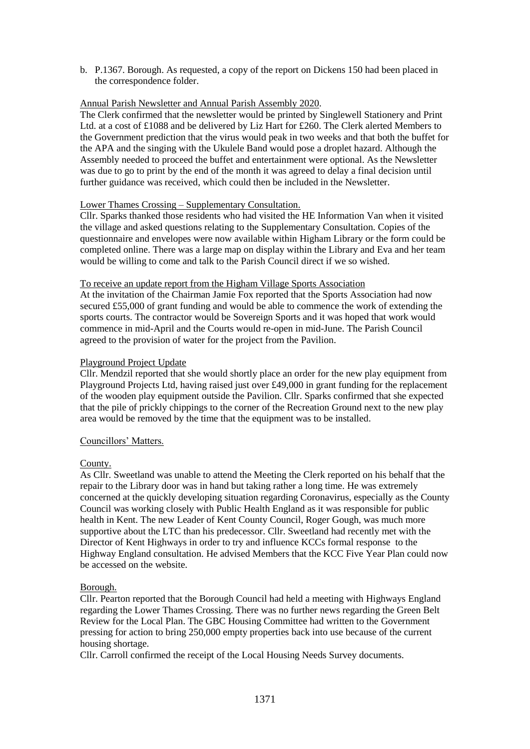b. P.1367. Borough. As requested, a copy of the report on Dickens 150 had been placed in the correspondence folder.

## Annual Parish Newsletter and Annual Parish Assembly 2020.

The Clerk confirmed that the newsletter would be printed by Singlewell Stationery and Print Ltd. at a cost of £1088 and be delivered by Liz Hart for £260. The Clerk alerted Members to the Government prediction that the virus would peak in two weeks and that both the buffet for the APA and the singing with the Ukulele Band would pose a droplet hazard. Although the Assembly needed to proceed the buffet and entertainment were optional. As the Newsletter was due to go to print by the end of the month it was agreed to delay a final decision until further guidance was received, which could then be included in the Newsletter.

## Lower Thames Crossing – Supplementary Consultation.

Cllr. Sparks thanked those residents who had visited the HE Information Van when it visited the village and asked questions relating to the Supplementary Consultation. Copies of the questionnaire and envelopes were now available within Higham Library or the form could be completed online. There was a large map on display within the Library and Eva and her team would be willing to come and talk to the Parish Council direct if we so wished.

### To receive an update report from the Higham Village Sports Association

At the invitation of the Chairman Jamie Fox reported that the Sports Association had now secured £55,000 of grant funding and would be able to commence the work of extending the sports courts. The contractor would be Sovereign Sports and it was hoped that work would commence in mid-April and the Courts would re-open in mid-June. The Parish Council agreed to the provision of water for the project from the Pavilion.

## Playground Project Update

Cllr. Mendzil reported that she would shortly place an order for the new play equipment from Playground Projects Ltd, having raised just over £49,000 in grant funding for the replacement of the wooden play equipment outside the Pavilion. Cllr. Sparks confirmed that she expected that the pile of prickly chippings to the corner of the Recreation Ground next to the new play area would be removed by the time that the equipment was to be installed.

### Councillors' Matters.

### County.

As Cllr. Sweetland was unable to attend the Meeting the Clerk reported on his behalf that the repair to the Library door was in hand but taking rather a long time. He was extremely concerned at the quickly developing situation regarding Coronavirus, especially as the County Council was working closely with Public Health England as it was responsible for public health in Kent. The new Leader of Kent County Council, Roger Gough, was much more supportive about the LTC than his predecessor. Cllr. Sweetland had recently met with the Director of Kent Highways in order to try and influence KCCs formal response to the Highway England consultation. He advised Members that the KCC Five Year Plan could now be accessed on the website.

# Borough.

Cllr. Pearton reported that the Borough Council had held a meeting with Highways England regarding the Lower Thames Crossing. There was no further news regarding the Green Belt Review for the Local Plan. The GBC Housing Committee had written to the Government pressing for action to bring 250,000 empty properties back into use because of the current housing shortage.

Cllr. Carroll confirmed the receipt of the Local Housing Needs Survey documents.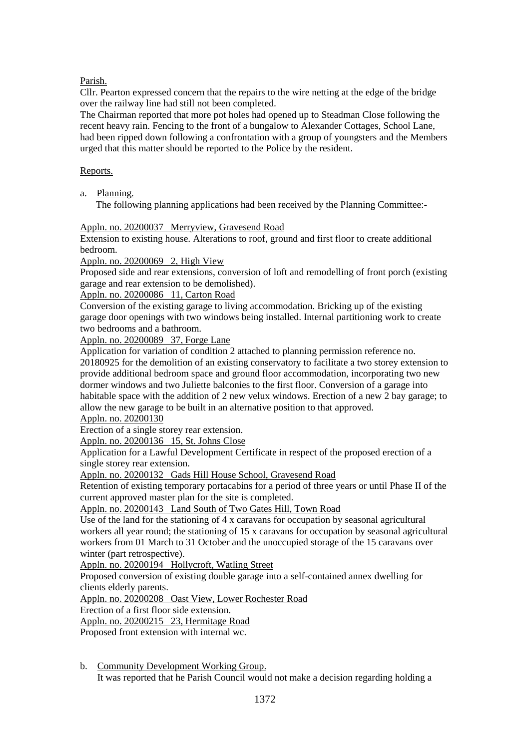Parish.

Cllr. Pearton expressed concern that the repairs to the wire netting at the edge of the bridge over the railway line had still not been completed.

The Chairman reported that more pot holes had opened up to Steadman Close following the recent heavy rain. Fencing to the front of a bungalow to Alexander Cottages, School Lane, had been ripped down following a confrontation with a group of youngsters and the Members urged that this matter should be reported to the Police by the resident.

## Reports.

a. Planning.

The following planning applications had been received by the Planning Committee:-

### Appln. no. 20200037 Merryview, Gravesend Road

Extension to existing house. Alterations to roof, ground and first floor to create additional bedroom.

Appln. no. 20200069 2, High View

Proposed side and rear extensions, conversion of loft and remodelling of front porch (existing garage and rear extension to be demolished).

Appln. no. 20200086 11, Carton Road

Conversion of the existing garage to living accommodation. Bricking up of the existing garage door openings with two windows being installed. Internal partitioning work to create two bedrooms and a bathroom.

Appln. no. 20200089 37, Forge Lane

Application for variation of condition 2 attached to planning permission reference no. 20180925 for the demolition of an existing conservatory to facilitate a two storey extension to provide additional bedroom space and ground floor accommodation, incorporating two new dormer windows and two Juliette balconies to the first floor. Conversion of a garage into habitable space with the addition of 2 new velux windows. Erection of a new 2 bay garage; to allow the new garage to be built in an alternative position to that approved.

Appln. no. 20200130

Erection of a single storey rear extension.

Appln. no. 20200136 15, St. Johns Close

Application for a Lawful Development Certificate in respect of the proposed erection of a single storey rear extension.

Appln. no. 20200132 Gads Hill House School, Gravesend Road

Retention of existing temporary portacabins for a period of three years or until Phase II of the current approved master plan for the site is completed.

Appln. no. 20200143 Land South of Two Gates Hill, Town Road

Use of the land for the stationing of 4 x caravans for occupation by seasonal agricultural workers all year round; the stationing of 15 x caravans for occupation by seasonal agricultural workers from 01 March to 31 October and the unoccupied storage of the 15 caravans over winter (part retrospective).

Appln. no. 20200194 Hollycroft, Watling Street

Proposed conversion of existing double garage into a self-contained annex dwelling for clients elderly parents.

Appln. no. 20200208 Oast View, Lower Rochester Road

Erection of a first floor side extension.

Appln. no. 20200215 23, Hermitage Road

Proposed front extension with internal wc.

b. Community Development Working Group.

It was reported that he Parish Council would not make a decision regarding holding a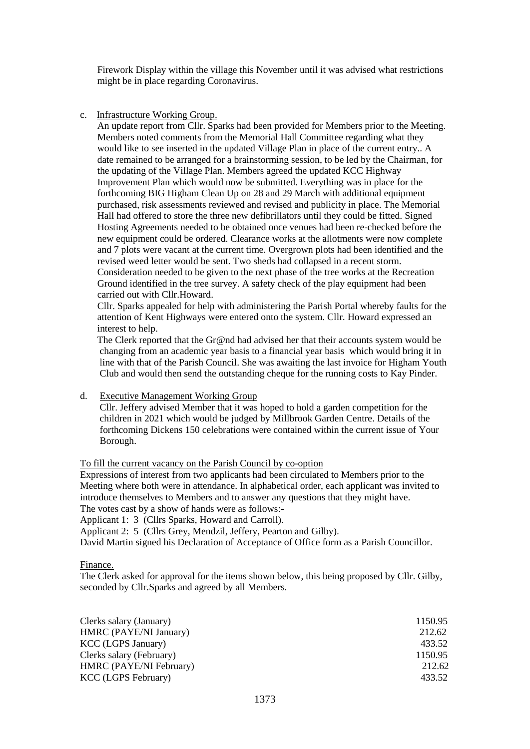Firework Display within the village this November until it was advised what restrictions might be in place regarding Coronavirus.

### c. Infrastructure Working Group.

 An update report from Cllr. Sparks had been provided for Members prior to the Meeting. Members noted comments from the Memorial Hall Committee regarding what they would like to see inserted in the updated Village Plan in place of the current entry.. A date remained to be arranged for a brainstorming session, to be led by the Chairman, for the updating of the Village Plan. Members agreed the updated KCC Highway Improvement Plan which would now be submitted. Everything was in place for the forthcoming BIG Higham Clean Up on 28 and 29 March with additional equipment purchased, risk assessments reviewed and revised and publicity in place. The Memorial Hall had offered to store the three new defibrillators until they could be fitted. Signed Hosting Agreements needed to be obtained once venues had been re-checked before the new equipment could be ordered. Clearance works at the allotments were now complete and 7 plots were vacant at the current time. Overgrown plots had been identified and the revised weed letter would be sent. Two sheds had collapsed in a recent storm. Consideration needed to be given to the next phase of the tree works at the Recreation Ground identified in the tree survey. A safety check of the play equipment had been carried out with Cllr.Howard.

 Cllr. Sparks appealed for help with administering the Parish Portal whereby faults for the attention of Kent Highways were entered onto the system. Cllr. Howard expressed an interest to help.

 The Clerk reported that the Gr@nd had advised her that their accounts system would be changing from an academic year basis to a financial year basis which would bring it in line with that of the Parish Council. She was awaiting the last invoice for Higham Youth Club and would then send the outstanding cheque for the running costs to Kay Pinder.

d. Executive Management Working Group

 Cllr. Jeffery advised Member that it was hoped to hold a garden competition for the children in 2021 which would be judged by Millbrook Garden Centre. Details of the forthcoming Dickens 150 celebrations were contained within the current issue of Your Borough.

To fill the current vacancy on the Parish Council by co-option

Expressions of interest from two applicants had been circulated to Members prior to the Meeting where both were in attendance. In alphabetical order, each applicant was invited to introduce themselves to Members and to answer any questions that they might have. The votes cast by a show of hands were as follows:-

Applicant 1: 3 (Cllrs Sparks, Howard and Carroll).

Applicant 2: 5 (Cllrs Grey, Mendzil, Jeffery, Pearton and Gilby).

David Martin signed his Declaration of Acceptance of Office form as a Parish Councillor.

#### Finance.

The Clerk asked for approval for the items shown below, this being proposed by Cllr. Gilby, seconded by Cllr.Sparks and agreed by all Members.

| Clerks salary (January)        | 1150.95 |
|--------------------------------|---------|
| HMRC (PAYE/NI January)         | 212.62  |
| <b>KCC</b> (LGPS January)      | 433.52  |
| Clerks salary (February)       | 1150.95 |
| <b>HMRC</b> (PAYE/NI February) | 212.62  |
| <b>KCC</b> (LGPS February)     | 433.52  |